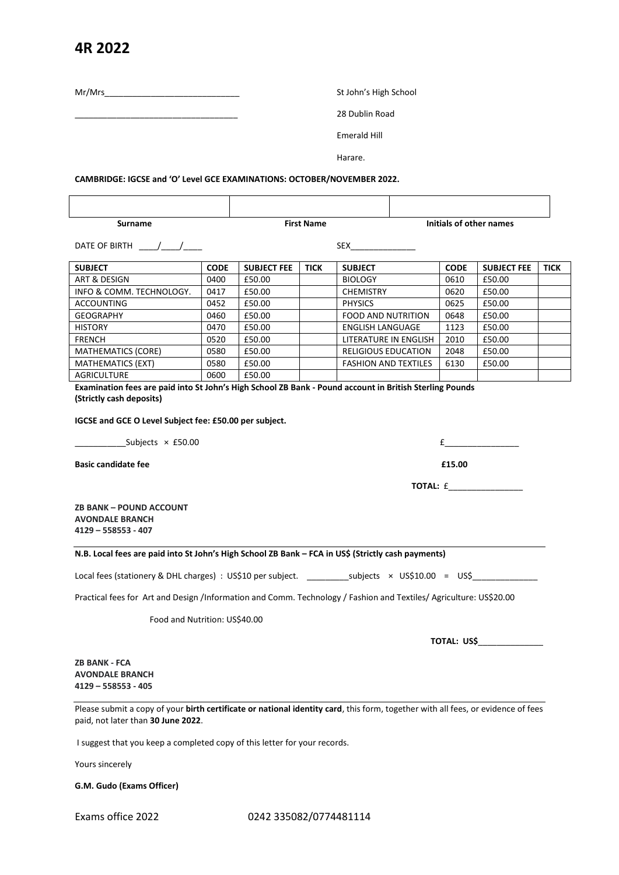## **4R 2022**

Mr/Mrs<br>St John's High School

\_\_\_\_\_\_\_\_\_\_\_\_\_\_\_\_\_\_\_\_\_\_\_\_\_\_\_\_\_\_\_\_\_\_\_ 28 Dublin Road

Emerald Hill

Harare.

**CAMBRIDGE: IGCSE and 'O' Level GCE EXAMINATIONS: OCTOBER/NOVEMBER 2022.**

**Surname Eirst Name First Name Initials of other names** 

DATE OF BIRTH \_\_\_\_/\_\_\_\_/\_\_\_\_ SEX\_\_\_\_\_\_\_\_\_\_\_\_\_\_

| <b>SUBJECT</b>            | <b>CODE</b> | <b>SUBJECT FEE</b> | <b>TICK</b> | <b>SUBJECT</b>              | <b>CODE</b> | <b>SUBJECT FEE</b> | <b>TICK</b> |
|---------------------------|-------------|--------------------|-------------|-----------------------------|-------------|--------------------|-------------|
| ART & DESIGN              | 0400        | £50.00             |             | <b>BIOLOGY</b>              | 0610        | £50.00             |             |
| INFO & COMM. TECHNOLOGY.  | 0417        | £50.00             |             | <b>CHEMISTRY</b>            | 0620        | £50.00             |             |
| <b>ACCOUNTING</b>         | 0452        | £50.00             |             | <b>PHYSICS</b>              | 0625        | £50.00             |             |
| <b>GEOGRAPHY</b>          | 0460        | £50.00             |             | <b>FOOD AND NUTRITION</b>   | 0648        | £50.00             |             |
| <b>HISTORY</b>            | 0470        | £50.00             |             | <b>ENGLISH LANGUAGE</b>     | 1123        | £50.00             |             |
| <b>FRENCH</b>             | 0520        | £50.00             |             | LITERATURE IN ENGLISH       | 2010        | £50.00             |             |
| <b>MATHEMATICS (CORE)</b> | 0580        | £50.00             |             | <b>RELIGIOUS EDUCATION</b>  | 2048        | £50.00             |             |
| <b>MATHEMATICS (EXT)</b>  | 0580        | £50.00             |             | <b>FASHION AND TEXTILES</b> | 6130        | £50.00             |             |
| AGRICULTURE               | 0600        | £50.00             |             |                             |             |                    |             |

**Examination fees are paid into St John's High School ZB Bank - Pound account in British Sterling Pounds (Strictly cash deposits)**

**IGCSE and GCE O Level Subject fee: £50.00 per subject.**

 $\qquad \qquad \text{Subjects} \; \times \; \text{f} \; 50.00$ 

**Basic candidate fee E15.00** 

**TOTAL:** £\_\_\_\_\_\_\_\_\_\_\_\_\_\_\_\_

**ZB BANK – POUND ACCOUNT AVONDALE BRANCH 4129 – 558553 - 407**

## **N.B. Local fees are paid into St John's High School ZB Bank – FCA in US\$ (Strictly cash payments)**

Local fees (stationery & DHL charges) : US\$10 per subject. \_\_\_\_\_\_\_\_\_\_subjects × US\$10.00 = US\$\_\_\_\_\_\_\_\_\_\_\_\_\_\_\_

Practical fees for Art and Design /Information and Comm. Technology / Fashion and Textiles/ Agriculture: US\$20.00

Food and Nutrition: US\$40.00

 **TOTAL: US\$**\_\_\_\_\_\_\_\_\_\_\_\_\_\_

**ZB BANK - FCA AVONDALE BRANCH 4129 – 558553 - 405**

Please submit a copy of your **birth certificate or national identity card**, this form, together with all fees, or evidence of fees paid, not later than **30 June 2022**.

I suggest that you keep a completed copy of this letter for your records.

Yours sincerely

**G.M. Gudo (Exams Officer)**